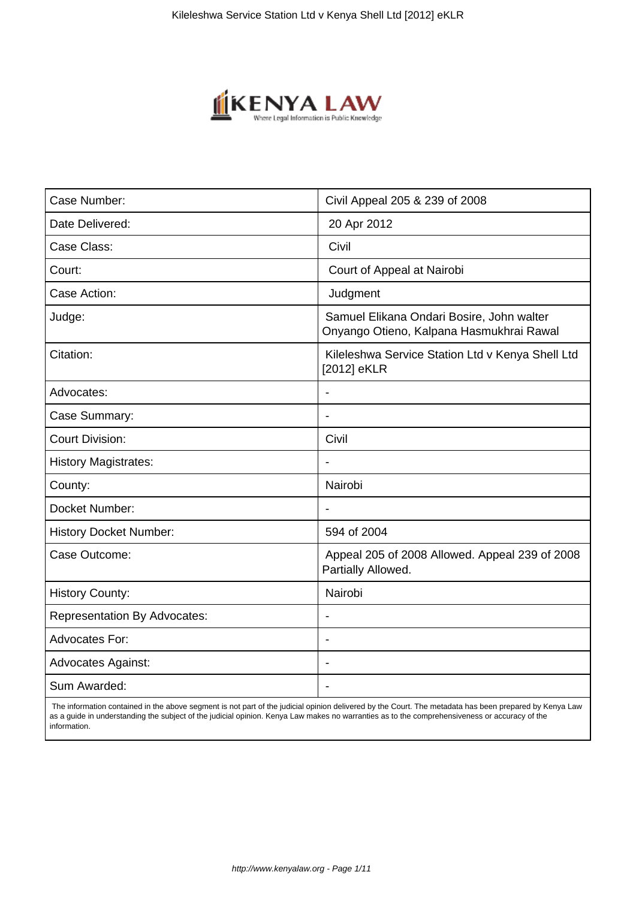

| Case Number:                        | Civil Appeal 205 & 239 of 2008                                                        |
|-------------------------------------|---------------------------------------------------------------------------------------|
| Date Delivered:                     | 20 Apr 2012                                                                           |
| Case Class:                         | Civil                                                                                 |
| Court:                              | Court of Appeal at Nairobi                                                            |
| Case Action:                        | Judgment                                                                              |
| Judge:                              | Samuel Elikana Ondari Bosire, John walter<br>Onyango Otieno, Kalpana Hasmukhrai Rawal |
| Citation:                           | Kileleshwa Service Station Ltd v Kenya Shell Ltd<br>[2012] eKLR                       |
| Advocates:                          | $\overline{\phantom{a}}$                                                              |
| Case Summary:                       | $\blacksquare$                                                                        |
| <b>Court Division:</b>              | Civil                                                                                 |
| <b>History Magistrates:</b>         | $\blacksquare$                                                                        |
| County:                             | Nairobi                                                                               |
| Docket Number:                      |                                                                                       |
| <b>History Docket Number:</b>       | 594 of 2004                                                                           |
| Case Outcome:                       | Appeal 205 of 2008 Allowed. Appeal 239 of 2008<br>Partially Allowed.                  |
| <b>History County:</b>              | Nairobi                                                                               |
| <b>Representation By Advocates:</b> |                                                                                       |
| <b>Advocates For:</b>               | $\overline{\phantom{a}}$                                                              |
| <b>Advocates Against:</b>           | $\blacksquare$                                                                        |
| Sum Awarded:                        |                                                                                       |

 The information contained in the above segment is not part of the judicial opinion delivered by the Court. The metadata has been prepared by Kenya Law as a guide in understanding the subject of the judicial opinion. Kenya Law makes no warranties as to the comprehensiveness or accuracy of the information.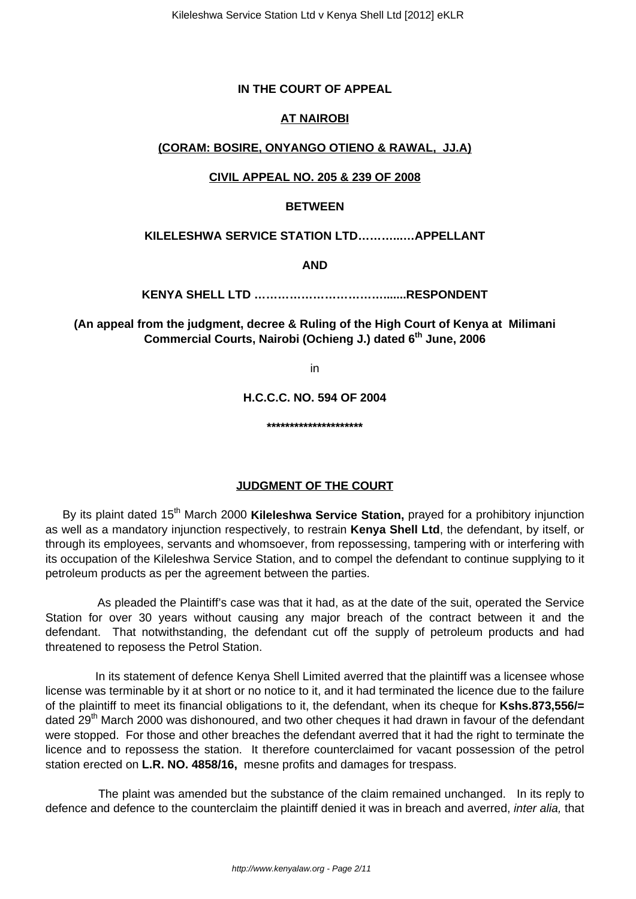## **IN THE COURT OF APPEAL**

# **AT NAIROBI**

## **(CORAM: BOSIRE, ONYANGO OTIENO & RAWAL, JJ.A)**

## **CIVIL APPEAL NO. 205 & 239 OF 2008**

#### **BETWEEN**

#### **KILELESHWA SERVICE STATION LTD………...…APPELLANT**

**AND**

**KENYA SHELL LTD …………………………….......RESPONDENT**

**(An appeal from the judgment, decree & Ruling of the High Court of Kenya at Milimani Commercial Courts, Nairobi (Ochieng J.) dated 6th June, 2006**

in

**H.C.C.C. NO. 594 OF 2004**

**\*\*\*\*\*\*\*\*\*\*\*\*\*\*\*\*\*\*\*\*\***

#### **JUDGMENT OF THE COURT**

By its plaint dated 15<sup>th</sup> March 2000 Kileleshwa Service Station, prayed for a prohibitory injunction as well as a mandatory injunction respectively, to restrain **Kenya Shell Ltd**, the defendant, by itself, or through its employees, servants and whomsoever, from repossessing, tampering with or interfering with its occupation of the Kileleshwa Service Station, and to compel the defendant to continue supplying to it petroleum products as per the agreement between the parties.

 As pleaded the Plaintiff's case was that it had, as at the date of the suit, operated the Service Station for over 30 years without causing any major breach of the contract between it and the defendant. That notwithstanding, the defendant cut off the supply of petroleum products and had threatened to reposess the Petrol Station.

 In its statement of defence Kenya Shell Limited averred that the plaintiff was a licensee whose license was terminable by it at short or no notice to it, and it had terminated the licence due to the failure of the plaintiff to meet its financial obligations to it, the defendant, when its cheque for **Kshs.873,556/=** dated 29<sup>th</sup> March 2000 was dishonoured, and two other cheques it had drawn in favour of the defendant were stopped. For those and other breaches the defendant averred that it had the right to terminate the licence and to repossess the station. It therefore counterclaimed for vacant possession of the petrol station erected on **L.R. NO. 4858/16,** mesne profits and damages for trespass.

 The plaint was amended but the substance of the claim remained unchanged. In its reply to defence and defence to the counterclaim the plaintiff denied it was in breach and averred, inter alia, that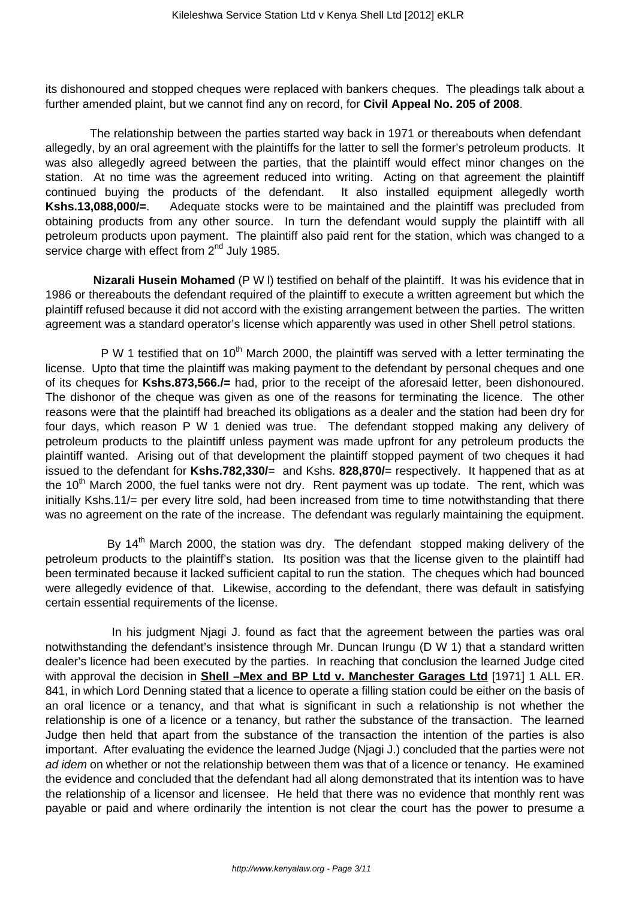its dishonoured and stopped cheques were replaced with bankers cheques. The pleadings talk about a further amended plaint, but we cannot find any on record, for **Civil Appeal No. 205 of 2008**.

 The relationship between the parties started way back in 1971 or thereabouts when defendant allegedly, by an oral agreement with the plaintiffs for the latter to sell the former's petroleum products. It was also allegedly agreed between the parties, that the plaintiff would effect minor changes on the station. At no time was the agreement reduced into writing. Acting on that agreement the plaintiff continued buying the products of the defendant. It also installed equipment allegedly worth **Kshs.13,088,000/=**. Adequate stocks were to be maintained and the plaintiff was precluded from obtaining products from any other source. In turn the defendant would supply the plaintiff with all petroleum products upon payment. The plaintiff also paid rent for the station, which was changed to a service charge with effect from  $2<sup>nd</sup>$  July 1985.

**Nizarali Husein Mohamed** (P W l) testified on behalf of the plaintiff. It was his evidence that in 1986 or thereabouts the defendant required of the plaintiff to execute a written agreement but which the plaintiff refused because it did not accord with the existing arrangement between the parties. The written agreement was a standard operator's license which apparently was used in other Shell petrol stations.

P W 1 testified that on  $10<sup>th</sup>$  March 2000, the plaintiff was served with a letter terminating the license. Upto that time the plaintiff was making payment to the defendant by personal cheques and one of its cheques for **Kshs.873,566./=** had, prior to the receipt of the aforesaid letter, been dishonoured. The dishonor of the cheque was given as one of the reasons for terminating the licence. The other reasons were that the plaintiff had breached its obligations as a dealer and the station had been dry for four days, which reason P W 1 denied was true. The defendant stopped making any delivery of petroleum products to the plaintiff unless payment was made upfront for any petroleum products the plaintiff wanted. Arising out of that development the plaintiff stopped payment of two cheques it had issued to the defendant for **Kshs.782,330/**= and Kshs. **828,870/**= respectively. It happened that as at the  $10<sup>th</sup>$  March 2000, the fuel tanks were not dry. Rent payment was up todate. The rent, which was initially Kshs.11/= per every litre sold, had been increased from time to time notwithstanding that there was no agreement on the rate of the increase. The defendant was regularly maintaining the equipment.

By 14<sup>th</sup> March 2000, the station was dry. The defendant stopped making delivery of the petroleum products to the plaintiff's station. Its position was that the license given to the plaintiff had been terminated because it lacked sufficient capital to run the station. The cheques which had bounced were allegedly evidence of that. Likewise, according to the defendant, there was default in satisfying certain essential requirements of the license.

 In his judgment Njagi J. found as fact that the agreement between the parties was oral notwithstanding the defendant's insistence through Mr. Duncan Irungu (D W 1) that a standard written dealer's licence had been executed by the parties. In reaching that conclusion the learned Judge cited with approval the decision in **Shell –Mex and BP Ltd v. Manchester Garages Ltd** [1971] 1 ALL ER. 841, in which Lord Denning stated that a licence to operate a filling station could be either on the basis of an oral licence or a tenancy, and that what is significant in such a relationship is not whether the relationship is one of a licence or a tenancy, but rather the substance of the transaction. The learned Judge then held that apart from the substance of the transaction the intention of the parties is also important. After evaluating the evidence the learned Judge (Njagi J.) concluded that the parties were not ad idem on whether or not the relationship between them was that of a licence or tenancy. He examined the evidence and concluded that the defendant had all along demonstrated that its intention was to have the relationship of a licensor and licensee. He held that there was no evidence that monthly rent was payable or paid and where ordinarily the intention is not clear the court has the power to presume a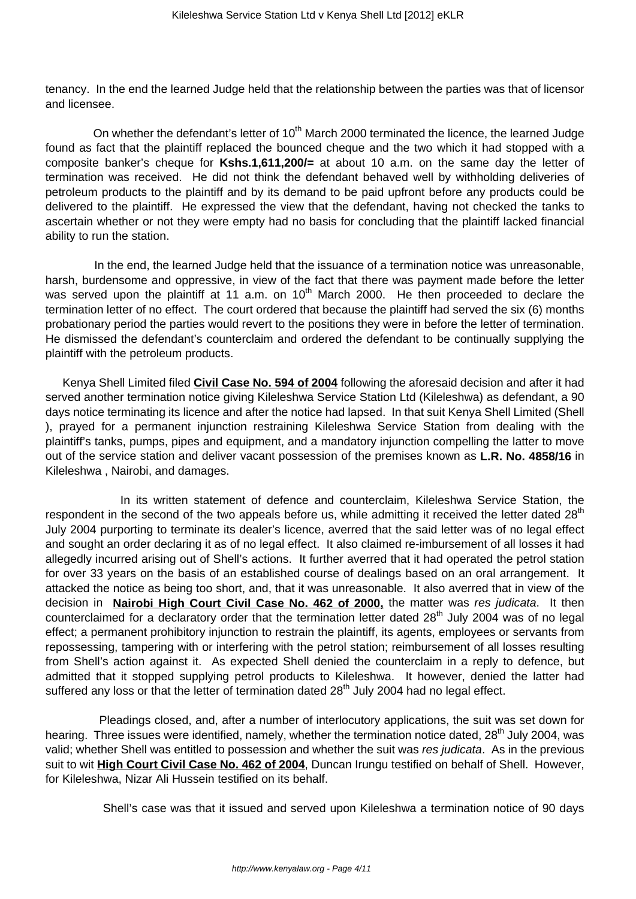tenancy. In the end the learned Judge held that the relationship between the parties was that of licensor and licensee.

On whether the defendant's letter of 10<sup>th</sup> March 2000 terminated the licence, the learned Judge found as fact that the plaintiff replaced the bounced cheque and the two which it had stopped with a composite banker's cheque for **Kshs.1,611,200/=** at about 10 a.m. on the same day the letter of termination was received. He did not think the defendant behaved well by withholding deliveries of petroleum products to the plaintiff and by its demand to be paid upfront before any products could be delivered to the plaintiff. He expressed the view that the defendant, having not checked the tanks to ascertain whether or not they were empty had no basis for concluding that the plaintiff lacked financial ability to run the station.

 In the end, the learned Judge held that the issuance of a termination notice was unreasonable, harsh, burdensome and oppressive, in view of the fact that there was payment made before the letter was served upon the plaintiff at 11 a.m. on  $10<sup>th</sup>$  March 2000. He then proceeded to declare the termination letter of no effect. The court ordered that because the plaintiff had served the six (6) months probationary period the parties would revert to the positions they were in before the letter of termination. He dismissed the defendant's counterclaim and ordered the defendant to be continually supplying the plaintiff with the petroleum products.

Kenya Shell Limited filed **Civil Case No. 594 of 2004** following the aforesaid decision and after it had served another termination notice giving Kileleshwa Service Station Ltd (Kileleshwa) as defendant, a 90 days notice terminating its licence and after the notice had lapsed. In that suit Kenya Shell Limited (Shell ), prayed for a permanent injunction restraining Kileleshwa Service Station from dealing with the plaintiff's tanks, pumps, pipes and equipment, and a mandatory injunction compelling the latter to move out of the service station and deliver vacant possession of the premises known as **L.R. No. 4858/16** in Kileleshwa , Nairobi, and damages.

 In its written statement of defence and counterclaim, Kileleshwa Service Station, the respondent in the second of the two appeals before us, while admitting it received the letter dated 28<sup>th</sup> July 2004 purporting to terminate its dealer's licence, averred that the said letter was of no legal effect and sought an order declaring it as of no legal effect. It also claimed re-imbursement of all losses it had allegedly incurred arising out of Shell's actions. It further averred that it had operated the petrol station for over 33 years on the basis of an established course of dealings based on an oral arrangement. It attacked the notice as being too short, and, that it was unreasonable. It also averred that in view of the decision in **Nairobi High Court Civil Case No. 462 of 2000,** the matter was res judicata. It then counterclaimed for a declaratory order that the termination letter dated 28<sup>th</sup> July 2004 was of no legal effect; a permanent prohibitory injunction to restrain the plaintiff, its agents, employees or servants from repossessing, tampering with or interfering with the petrol station; reimbursement of all losses resulting from Shell's action against it. As expected Shell denied the counterclaim in a reply to defence, but admitted that it stopped supplying petrol products to Kileleshwa. It however, denied the latter had suffered any loss or that the letter of termination dated  $28<sup>th</sup>$  July 2004 had no legal effect.

 Pleadings closed, and, after a number of interlocutory applications, the suit was set down for hearing. Three issues were identified, namely, whether the termination notice dated, 28<sup>th</sup> July 2004, was valid; whether Shell was entitled to possession and whether the suit was res judicata. As in the previous suit to wit **High Court Civil Case No. 462 of 2004**, Duncan Irungu testified on behalf of Shell. However, for Kileleshwa, Nizar Ali Hussein testified on its behalf.

Shell's case was that it issued and served upon Kileleshwa a termination notice of 90 days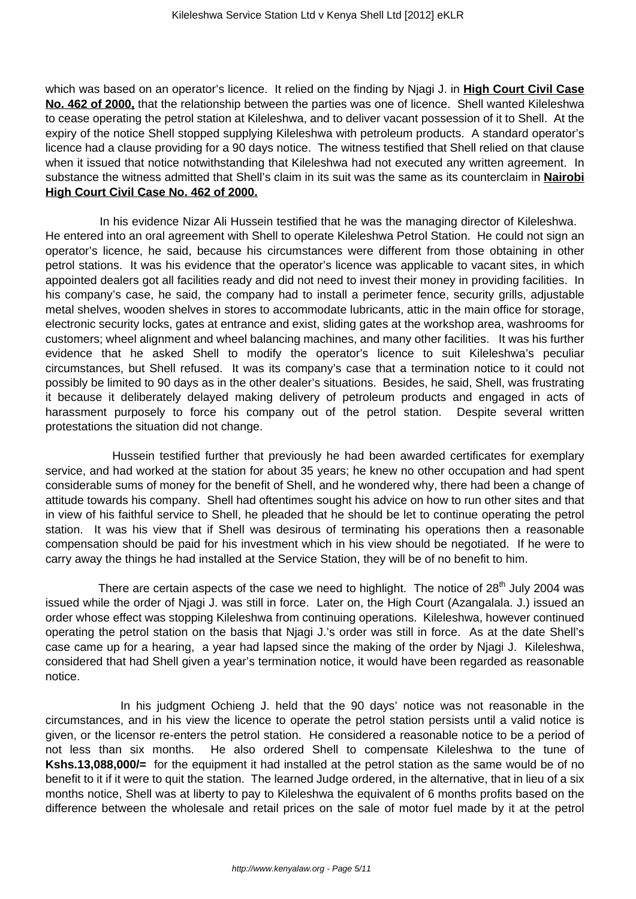which was based on an operator's licence. It relied on the finding by Njagi J. in **High Court Civil Case No. 462 of 2000,** that the relationship between the parties was one of licence. Shell wanted Kileleshwa to cease operating the petrol station at Kileleshwa, and to deliver vacant possession of it to Shell. At the expiry of the notice Shell stopped supplying Kileleshwa with petroleum products. A standard operator's licence had a clause providing for a 90 days notice. The witness testified that Shell relied on that clause when it issued that notice notwithstanding that Kileleshwa had not executed any written agreement. In substance the witness admitted that Shell's claim in its suit was the same as its counterclaim in **Nairobi High Court Civil Case No. 462 of 2000.**

 In his evidence Nizar Ali Hussein testified that he was the managing director of Kileleshwa. He entered into an oral agreement with Shell to operate Kileleshwa Petrol Station. He could not sign an operator's licence, he said, because his circumstances were different from those obtaining in other petrol stations. It was his evidence that the operator's licence was applicable to vacant sites, in which appointed dealers got all facilities ready and did not need to invest their money in providing facilities. In his company's case, he said, the company had to install a perimeter fence, security grills, adjustable metal shelves, wooden shelves in stores to accommodate lubricants, attic in the main office for storage, electronic security locks, gates at entrance and exist, sliding gates at the workshop area, washrooms for customers; wheel alignment and wheel balancing machines, and many other facilities. It was his further evidence that he asked Shell to modify the operator's licence to suit Kileleshwa's peculiar circumstances, but Shell refused. It was its company's case that a termination notice to it could not possibly be limited to 90 days as in the other dealer's situations. Besides, he said, Shell, was frustrating it because it deliberately delayed making delivery of petroleum products and engaged in acts of harassment purposely to force his company out of the petrol station. Despite several written protestations the situation did not change.

 Hussein testified further that previously he had been awarded certificates for exemplary service, and had worked at the station for about 35 years; he knew no other occupation and had spent considerable sums of money for the benefit of Shell, and he wondered why, there had been a change of attitude towards his company. Shell had oftentimes sought his advice on how to run other sites and that in view of his faithful service to Shell, he pleaded that he should be let to continue operating the petrol station. It was his view that if Shell was desirous of terminating his operations then a reasonable compensation should be paid for his investment which in his view should be negotiated. If he were to carry away the things he had installed at the Service Station, they will be of no benefit to him.

There are certain aspects of the case we need to highlight. The notice of  $28<sup>th</sup>$  July 2004 was issued while the order of Njagi J. was still in force. Later on, the High Court (Azangalala. J.) issued an order whose effect was stopping Kileleshwa from continuing operations. Kileleshwa, however continued operating the petrol station on the basis that Njagi J.'s order was still in force. As at the date Shell's case came up for a hearing, a year had lapsed since the making of the order by Njagi J. Kileleshwa, considered that had Shell given a year's termination notice, it would have been regarded as reasonable notice.

 In his judgment Ochieng J. held that the 90 days' notice was not reasonable in the circumstances, and in his view the licence to operate the petrol station persists until a valid notice is given, or the licensor re-enters the petrol station. He considered a reasonable notice to be a period of not less than six months. He also ordered Shell to compensate Kileleshwa to the tune of **Kshs.13,088,000/=** for the equipment it had installed at the petrol station as the same would be of no benefit to it if it were to quit the station. The learned Judge ordered, in the alternative, that in lieu of a six months notice, Shell was at liberty to pay to Kileleshwa the equivalent of 6 months profits based on the difference between the wholesale and retail prices on the sale of motor fuel made by it at the petrol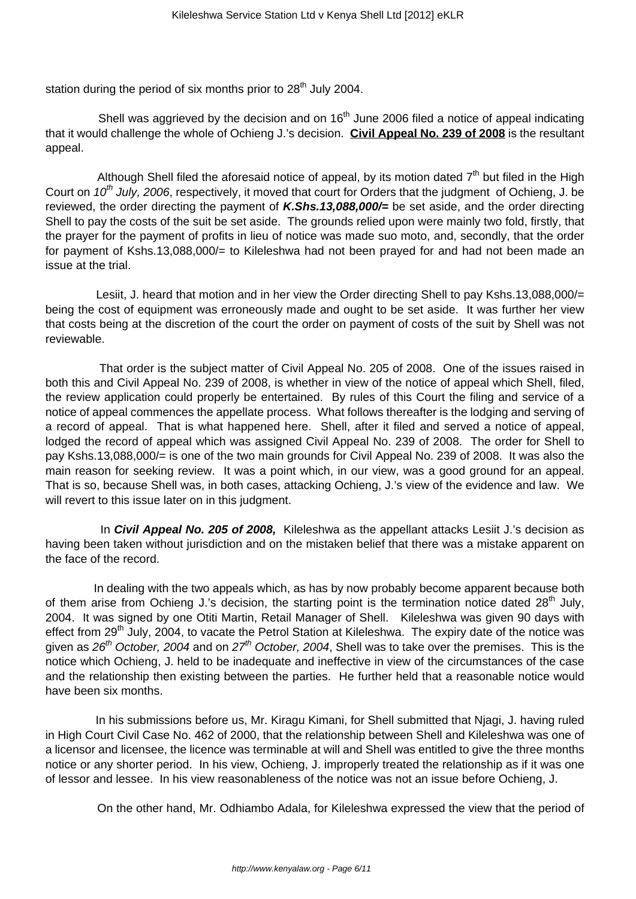station during the period of six months prior to  $28<sup>th</sup>$  July 2004.

Shell was aggrieved by the decision and on  $16<sup>th</sup>$  June 2006 filed a notice of appeal indicating that it would challenge the whole of Ochieng J.'s decision. **Civil Appeal No. 239 of 2008** is the resultant appeal.

Although Shell filed the aforesaid notice of appeal, by its motion dated  $7<sup>th</sup>$  but filed in the High Court on 10<sup>th</sup> July, 2006, respectively, it moved that court for Orders that the judgment of Ochieng, J. be reviewed, the order directing the payment of **K.Shs.13,088,000/=** be set aside, and the order directing Shell to pay the costs of the suit be set aside. The grounds relied upon were mainly two fold, firstly, that the prayer for the payment of profits in lieu of notice was made suo moto, and, secondly, that the order for payment of Kshs.13,088,000/= to Kileleshwa had not been prayed for and had not been made an issue at the trial.

 Lesiit, J. heard that motion and in her view the Order directing Shell to pay Kshs.13,088,000/= being the cost of equipment was erroneously made and ought to be set aside. It was further her view that costs being at the discretion of the court the order on payment of costs of the suit by Shell was not reviewable.

 That order is the subject matter of Civil Appeal No. 205 of 2008. One of the issues raised in both this and Civil Appeal No. 239 of 2008, is whether in view of the notice of appeal which Shell, filed, the review application could properly be entertained. By rules of this Court the filing and service of a notice of appeal commences the appellate process. What follows thereafter is the lodging and serving of a record of appeal. That is what happened here. Shell, after it filed and served a notice of appeal, lodged the record of appeal which was assigned Civil Appeal No. 239 of 2008. The order for Shell to pay Kshs.13,088,000/= is one of the two main grounds for Civil Appeal No. 239 of 2008. It was also the main reason for seeking review. It was a point which, in our view, was a good ground for an appeal. That is so, because Shell was, in both cases, attacking Ochieng, J.'s view of the evidence and law. We will revert to this issue later on in this judgment.

 In **Civil Appeal No. 205 of 2008,** Kileleshwa as the appellant attacks Lesiit J.'s decision as having been taken without jurisdiction and on the mistaken belief that there was a mistake apparent on the face of the record.

 In dealing with the two appeals which, as has by now probably become apparent because both of them arise from Ochieng J.'s decision, the starting point is the termination notice dated  $28<sup>th</sup>$  July, 2004. It was signed by one Otiti Martin, Retail Manager of Shell. Kileleshwa was given 90 days with effect from 29<sup>th</sup> July, 2004, to vacate the Petrol Station at Kileleshwa. The expiry date of the notice was given as  $26<sup>th</sup>$  October, 2004 and on  $27<sup>th</sup>$  October, 2004, Shell was to take over the premises. This is the notice which Ochieng, J. held to be inadequate and ineffective in view of the circumstances of the case and the relationship then existing between the parties. He further held that a reasonable notice would have been six months.

 In his submissions before us, Mr. Kiragu Kimani, for Shell submitted that Njagi, J. having ruled in High Court Civil Case No. 462 of 2000, that the relationship between Shell and Kileleshwa was one of a licensor and licensee, the licence was terminable at will and Shell was entitled to give the three months notice or any shorter period. In his view, Ochieng, J. improperly treated the relationship as if it was one of lessor and lessee. In his view reasonableness of the notice was not an issue before Ochieng, J.

On the other hand, Mr. Odhiambo Adala, for Kileleshwa expressed the view that the period of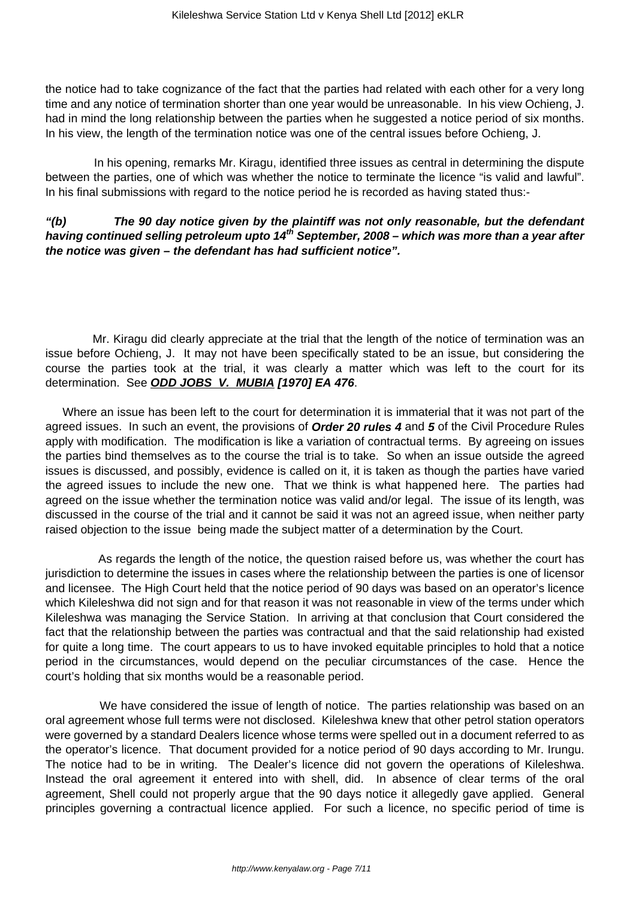the notice had to take cognizance of the fact that the parties had related with each other for a very long time and any notice of termination shorter than one year would be unreasonable. In his view Ochieng, J. had in mind the long relationship between the parties when he suggested a notice period of six months. In his view, the length of the termination notice was one of the central issues before Ochieng, J.

 In his opening, remarks Mr. Kiragu, identified three issues as central in determining the dispute between the parties, one of which was whether the notice to terminate the licence "is valid and lawful". In his final submissions with regard to the notice period he is recorded as having stated thus:-

## **"(b) The 90 day notice given by the plaintiff was not only reasonable, but the defendant having continued selling petroleum upto 14th September, 2008 – which was more than a year after the notice was given – the defendant has had sufficient notice".**

 Mr. Kiragu did clearly appreciate at the trial that the length of the notice of termination was an issue before Ochieng, J. It may not have been specifically stated to be an issue, but considering the course the parties took at the trial, it was clearly a matter which was left to the court for its determination. See **ODD JOBS V. MUBIA [1970] EA 476**.

Where an issue has been left to the court for determination it is immaterial that it was not part of the agreed issues. In such an event, the provisions of **Order 20 rules 4** and **5** of the Civil Procedure Rules apply with modification. The modification is like a variation of contractual terms. By agreeing on issues the parties bind themselves as to the course the trial is to take. So when an issue outside the agreed issues is discussed, and possibly, evidence is called on it, it is taken as though the parties have varied the agreed issues to include the new one. That we think is what happened here. The parties had agreed on the issue whether the termination notice was valid and/or legal. The issue of its length, was discussed in the course of the trial and it cannot be said it was not an agreed issue, when neither party raised objection to the issue being made the subject matter of a determination by the Court.

 As regards the length of the notice, the question raised before us, was whether the court has jurisdiction to determine the issues in cases where the relationship between the parties is one of licensor and licensee. The High Court held that the notice period of 90 days was based on an operator's licence which Kileleshwa did not sign and for that reason it was not reasonable in view of the terms under which Kileleshwa was managing the Service Station. In arriving at that conclusion that Court considered the fact that the relationship between the parties was contractual and that the said relationship had existed for quite a long time. The court appears to us to have invoked equitable principles to hold that a notice period in the circumstances, would depend on the peculiar circumstances of the case. Hence the court's holding that six months would be a reasonable period.

 We have considered the issue of length of notice. The parties relationship was based on an oral agreement whose full terms were not disclosed. Kileleshwa knew that other petrol station operators were governed by a standard Dealers licence whose terms were spelled out in a document referred to as the operator's licence. That document provided for a notice period of 90 days according to Mr. Irungu. The notice had to be in writing. The Dealer's licence did not govern the operations of Kileleshwa. Instead the oral agreement it entered into with shell, did. In absence of clear terms of the oral agreement, Shell could not properly argue that the 90 days notice it allegedly gave applied. General principles governing a contractual licence applied. For such a licence, no specific period of time is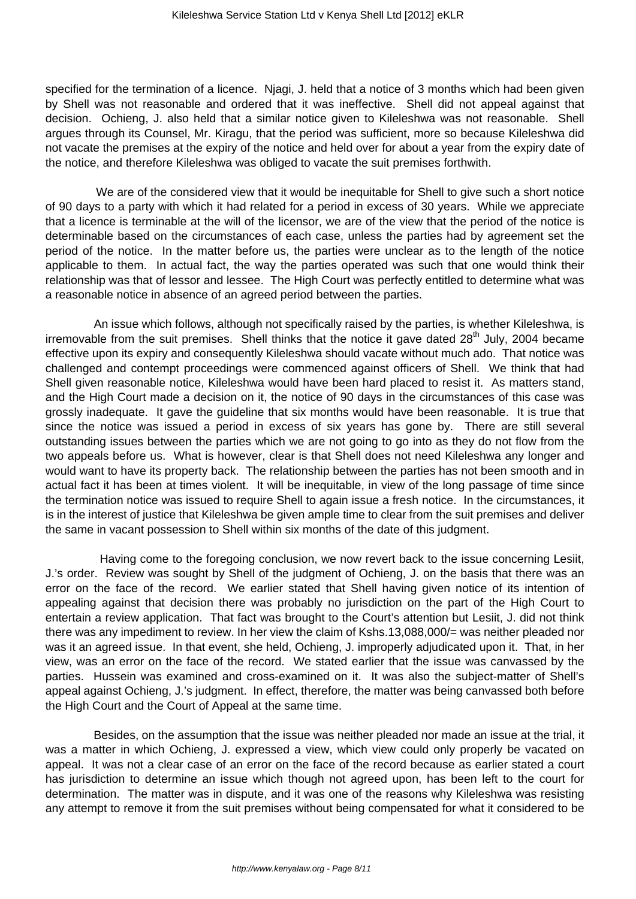specified for the termination of a licence. Niagi, J. held that a notice of 3 months which had been given by Shell was not reasonable and ordered that it was ineffective. Shell did not appeal against that decision. Ochieng, J. also held that a similar notice given to Kileleshwa was not reasonable. Shell argues through its Counsel, Mr. Kiragu, that the period was sufficient, more so because Kileleshwa did not vacate the premises at the expiry of the notice and held over for about a year from the expiry date of the notice, and therefore Kileleshwa was obliged to vacate the suit premises forthwith.

 We are of the considered view that it would be inequitable for Shell to give such a short notice of 90 days to a party with which it had related for a period in excess of 30 years. While we appreciate that a licence is terminable at the will of the licensor, we are of the view that the period of the notice is determinable based on the circumstances of each case, unless the parties had by agreement set the period of the notice. In the matter before us, the parties were unclear as to the length of the notice applicable to them. In actual fact, the way the parties operated was such that one would think their relationship was that of lessor and lessee. The High Court was perfectly entitled to determine what was a reasonable notice in absence of an agreed period between the parties.

 An issue which follows, although not specifically raised by the parties, is whether Kileleshwa, is irremovable from the suit premises. Shell thinks that the notice it gave dated  $28<sup>th</sup>$  July, 2004 became effective upon its expiry and consequently Kileleshwa should vacate without much ado. That notice was challenged and contempt proceedings were commenced against officers of Shell. We think that had Shell given reasonable notice, Kileleshwa would have been hard placed to resist it. As matters stand, and the High Court made a decision on it, the notice of 90 days in the circumstances of this case was grossly inadequate. It gave the guideline that six months would have been reasonable. It is true that since the notice was issued a period in excess of six years has gone by. There are still several outstanding issues between the parties which we are not going to go into as they do not flow from the two appeals before us. What is however, clear is that Shell does not need Kileleshwa any longer and would want to have its property back. The relationship between the parties has not been smooth and in actual fact it has been at times violent. It will be inequitable, in view of the long passage of time since the termination notice was issued to require Shell to again issue a fresh notice. In the circumstances, it is in the interest of justice that Kileleshwa be given ample time to clear from the suit premises and deliver the same in vacant possession to Shell within six months of the date of this judgment.

 Having come to the foregoing conclusion, we now revert back to the issue concerning Lesiit, J.'s order. Review was sought by Shell of the judgment of Ochieng, J. on the basis that there was an error on the face of the record. We earlier stated that Shell having given notice of its intention of appealing against that decision there was probably no jurisdiction on the part of the High Court to entertain a review application. That fact was brought to the Court's attention but Lesiit, J. did not think there was any impediment to review. In her view the claim of Kshs.13,088,000/= was neither pleaded nor was it an agreed issue. In that event, she held, Ochieng, J. improperly adjudicated upon it. That, in her view, was an error on the face of the record. We stated earlier that the issue was canvassed by the parties. Hussein was examined and cross-examined on it. It was also the subject-matter of Shell's appeal against Ochieng, J.'s judgment. In effect, therefore, the matter was being canvassed both before the High Court and the Court of Appeal at the same time.

 Besides, on the assumption that the issue was neither pleaded nor made an issue at the trial, it was a matter in which Ochieng, J. expressed a view, which view could only properly be vacated on appeal. It was not a clear case of an error on the face of the record because as earlier stated a court has jurisdiction to determine an issue which though not agreed upon, has been left to the court for determination. The matter was in dispute, and it was one of the reasons why Kileleshwa was resisting any attempt to remove it from the suit premises without being compensated for what it considered to be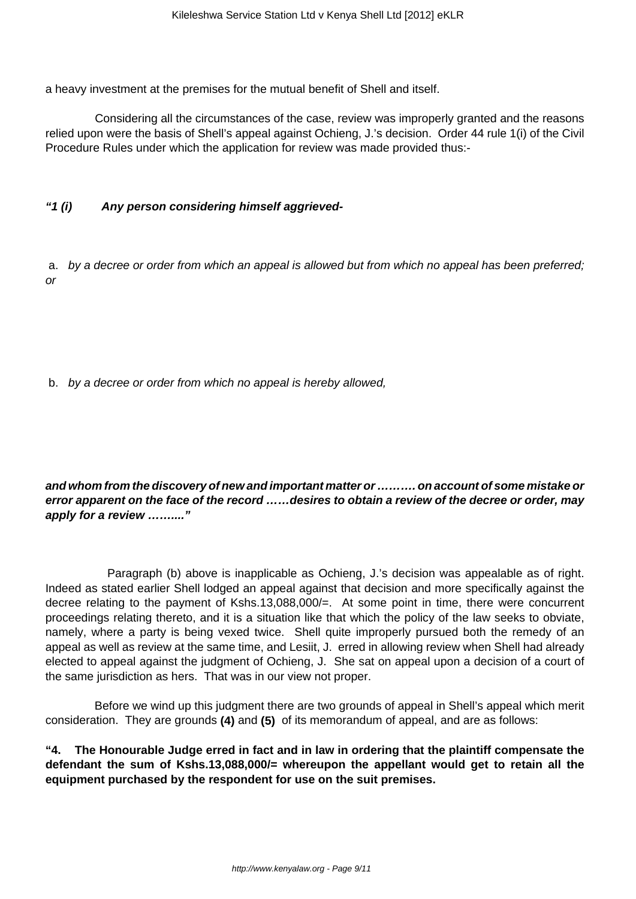a heavy investment at the premises for the mutual benefit of Shell and itself.

 Considering all the circumstances of the case, review was improperly granted and the reasons relied upon were the basis of Shell's appeal against Ochieng, J.'s decision. Order 44 rule 1(i) of the Civil Procedure Rules under which the application for review was made provided thus:-

## **"1 (i) Any person considering himself aggrieved-**

a. by a decree or order from which an appeal is allowed but from which no appeal has been preferred; or

b. by a decree or order from which no appeal is hereby allowed,

**and whom from the discovery of new and important matter or ………. on account of some mistake or error apparent on the face of the record ……desires to obtain a review of the decree or order, may apply for a review ……...."**

 Paragraph (b) above is inapplicable as Ochieng, J.'s decision was appealable as of right. Indeed as stated earlier Shell lodged an appeal against that decision and more specifically against the decree relating to the payment of Kshs.13,088,000/=. At some point in time, there were concurrent proceedings relating thereto, and it is a situation like that which the policy of the law seeks to obviate, namely, where a party is being vexed twice. Shell quite improperly pursued both the remedy of an appeal as well as review at the same time, and Lesiit, J. erred in allowing review when Shell had already elected to appeal against the judgment of Ochieng, J. She sat on appeal upon a decision of a court of the same jurisdiction as hers. That was in our view not proper.

 Before we wind up this judgment there are two grounds of appeal in Shell's appeal which merit consideration. They are grounds **(4)** and **(5)** of its memorandum of appeal, and are as follows:

**"4. The Honourable Judge erred in fact and in law in ordering that the plaintiff compensate the defendant the sum of Kshs.13,088,000/= whereupon the appellant would get to retain all the equipment purchased by the respondent for use on the suit premises.**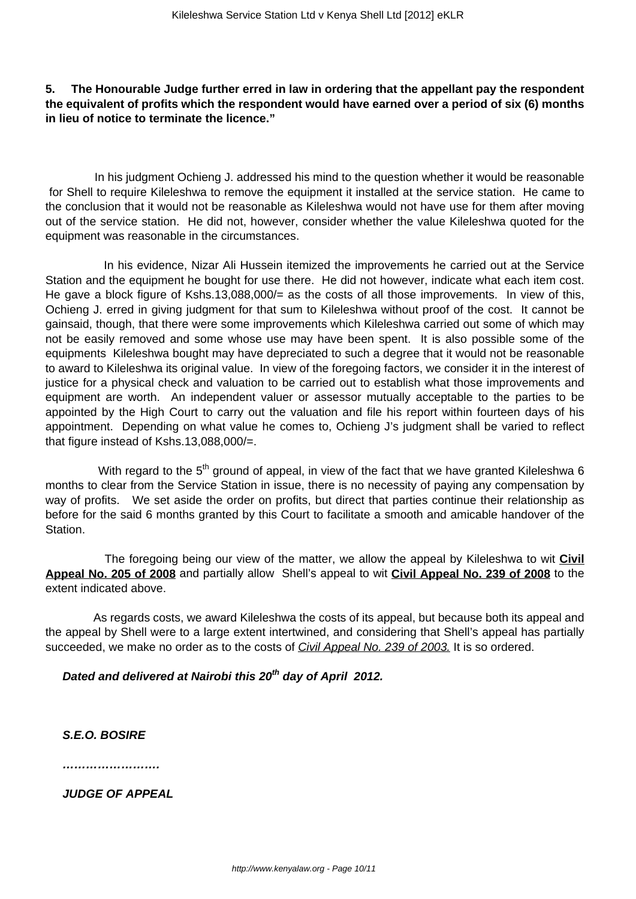### **5. The Honourable Judge further erred in law in ordering that the appellant pay the respondent the equivalent of profits which the respondent would have earned over a period of six (6) months in lieu of notice to terminate the licence."**

 In his judgment Ochieng J. addressed his mind to the question whether it would be reasonable for Shell to require Kileleshwa to remove the equipment it installed at the service station. He came to the conclusion that it would not be reasonable as Kileleshwa would not have use for them after moving out of the service station. He did not, however, consider whether the value Kileleshwa quoted for the equipment was reasonable in the circumstances.

 In his evidence, Nizar Ali Hussein itemized the improvements he carried out at the Service Station and the equipment he bought for use there. He did not however, indicate what each item cost. He gave a block figure of Kshs.13,088,000/= as the costs of all those improvements. In view of this, Ochieng J. erred in giving judgment for that sum to Kileleshwa without proof of the cost. It cannot be gainsaid, though, that there were some improvements which Kileleshwa carried out some of which may not be easily removed and some whose use may have been spent. It is also possible some of the equipments Kileleshwa bought may have depreciated to such a degree that it would not be reasonable to award to Kileleshwa its original value. In view of the foregoing factors, we consider it in the interest of justice for a physical check and valuation to be carried out to establish what those improvements and equipment are worth. An independent valuer or assessor mutually acceptable to the parties to be appointed by the High Court to carry out the valuation and file his report within fourteen days of his appointment. Depending on what value he comes to, Ochieng J's judgment shall be varied to reflect that figure instead of Kshs.13,088,000/=.

With regard to the  $5<sup>th</sup>$  ground of appeal, in view of the fact that we have granted Kileleshwa 6 months to clear from the Service Station in issue, there is no necessity of paying any compensation by way of profits. We set aside the order on profits, but direct that parties continue their relationship as before for the said 6 months granted by this Court to facilitate a smooth and amicable handover of the Station.

 The foregoing being our view of the matter, we allow the appeal by Kileleshwa to wit **Civil Appeal No. 205 of 2008** and partially allow Shell's appeal to wit **Civil Appeal No. 239 of 2008** to the extent indicated above.

 As regards costs, we award Kileleshwa the costs of its appeal, but because both its appeal and the appeal by Shell were to a large extent intertwined, and considering that Shell's appeal has partially succeeded, we make no order as to the costs of *Civil Appeal No. 239 of 2003*. It is so ordered.

**Dated and delivered at Nairobi this 20th day of April 2012.**

**S.E.O. BOSIRE**

**…………………….**

**JUDGE OF APPEAL**